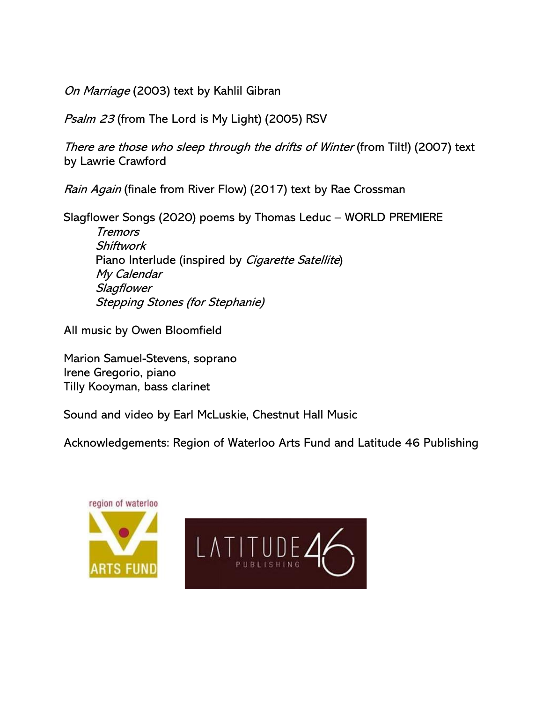On Marriage (2003) text by Kahlil Gibran

Psalm 23 (from The Lord is My Light) (2005) RSV

There are those who sleep through the drifts of Winter (from Tilt!) (2007) text by Lawrie Crawford

Rain Again (finale from River Flow) (2017) text by Rae Crossman

Slagflower Songs (2020) poems by Thomas Leduc – WORLD PREMIERE

**Tremors Shiftwork** Piano Interlude (inspired by *Cigarette Satellite*) My Calendar **Slagflower** Stepping Stones (for Stephanie)

All music by Owen Bloomfield

Marion Samuel-Stevens, soprano Irene Gregorio, piano Tilly Kooyman, bass clarinet

Sound and video by Earl McLuskie, Chestnut Hall Music

Acknowledgements: Region of Waterloo Arts Fund and Latitude 46 Publishing

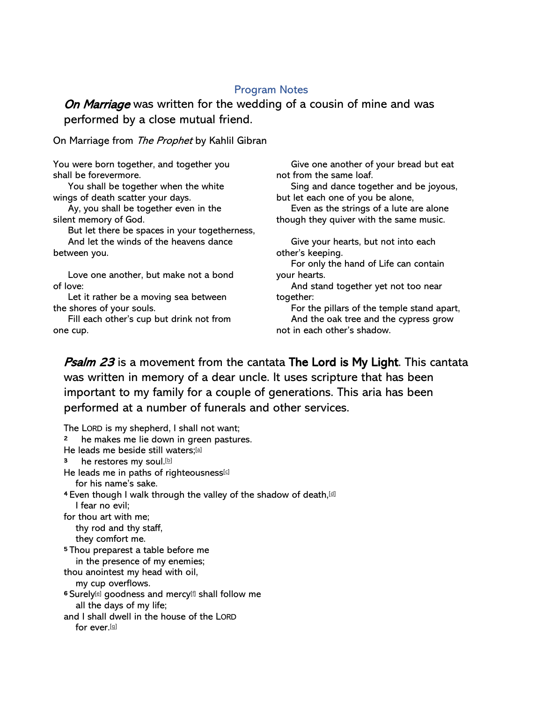# Program Notes

On Marriage was written for the wedding of a cousin of mine and was performed by a close mutual friend.

On Marriage from The Prophet by Kahlil Gibran

You were born together, and together you shall be forevermore.

 You shall be together when the white wings of death scatter your days.

 Ay, you shall be together even in the silent memory of God.

But let there be spaces in your togetherness,

 And let the winds of the heavens dance between you.

 Love one another, but make not a bond of love:

 Let it rather be a moving sea between the shores of your souls.

 Fill each other's cup but drink not from one cup.

 Give one another of your bread but eat not from the same loaf.

 Sing and dance together and be joyous, but let each one of you be alone,

 Even as the strings of a lute are alone though they quiver with the same music.

 Give your hearts, but not into each other's keeping. For only the hand of Life can contain your hearts. And stand together yet not too near together: For the pillars of the temple stand apart,

 And the oak tree and the cypress grow not in each other's shadow.

**Psalm 23** is a movement from the cantata The Lord is My Light. This cantata was written in memory of a dear uncle. It uses scripture that has been important to my family for a couple of generations. This aria has been performed at a number of funerals and other services.

The LORD is my shepherd, I shall not want; 2 he makes me lie down in green pastures. He leads me beside still waters;[\[a\]](https://www.biblegateway.com/passage/?search=Psalm%2023&version=RSV#fen-RSV-14237a) 3 he restores my soul.<sup>[\[b\]](https://www.biblegateway.com/passage/?search=Psalm%2023&version=RSV#fen-RSV-14238b)</sup> He leads me in paths of righteousness[\[c\]](https://www.biblegateway.com/passage/?search=Psalm%2023&version=RSV#fen-RSV-14238c) for his name's sake. <sup>4</sup> Even though I walk through the valley of the shadow of death, [\[d\]](https://www.biblegateway.com/passage/?search=Psalm%2023&version=RSV#fen-RSV-14239d) I fear no evil; for thou art with me; thy rod and thy staff, they comfort me. <sup>5</sup>Thou preparest a table before me in the presence of my enemies; thou anointest my head with oil, my cup overflows. <sup>6</sup> Surely<sup>[\[e\]](https://www.biblegateway.com/passage/?search=Psalm%2023&version=RSV#fen-RSV-14241e)</sup> goodness and mercy<sup>[\[f\]](https://www.biblegateway.com/passage/?search=Psalm%2023&version=RSV#fen-RSV-14241f)</sup> shall follow me all the days of my life; and I shall dwell in the house of the LORD for ever.[\[g\]](https://www.biblegateway.com/passage/?search=Psalm%2023&version=RSV#fen-RSV-14241g)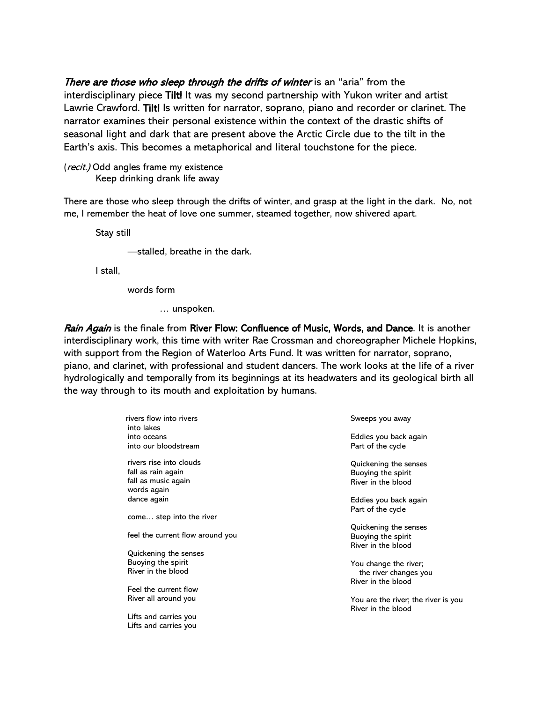There are those who sleep through the drifts of winter is an "aria" from the interdisciplinary piece Tilt! It was my second partnership with Yukon writer and artist Lawrie Crawford. Tilt! Is written for narrator, soprano, piano and recorder or clarinet. The narrator examines their personal existence within the context of the drastic shifts of seasonal light and dark that are present above the Arctic Circle due to the tilt in the Earth's axis. This becomes a metaphorical and literal touchstone for the piece.

(*recit.*) Odd angles frame my existence Keep drinking drank life away

There are those who sleep through the drifts of winter, and grasp at the light in the dark. No, not me, I remember the heat of love one summer, steamed together, now shivered apart.

Stay still

—stalled, breathe in the dark.

I stall,

words form

Lifts and carries you

… unspoken.

Rain Again is the finale from River Flow: Confluence of Music, Words, and Dance. It is another interdisciplinary work, this time with writer Rae Crossman and choreographer Michele Hopkins, with support from the Region of Waterloo Arts Fund. It was written for narrator, soprano, piano, and clarinet, with professional and student dancers. The work looks at the life of a river hydrologically and temporally from its beginnings at its headwaters and its geological birth all the way through to its mouth and exploitation by humans.

|  | rivers flow into rivers<br>into lakes | Sweeps you away                     |
|--|---------------------------------------|-------------------------------------|
|  | into oceans                           | Eddies you back again               |
|  |                                       |                                     |
|  | into our bloodstream                  | Part of the cycle                   |
|  | rivers rise into clouds               | Quickening the senses               |
|  | fall as rain again                    | Buoying the spirit                  |
|  | fall as music again                   | River in the blood                  |
|  | words again                           |                                     |
|  | dance again                           |                                     |
|  |                                       | Eddies you back again               |
|  | come step into the river              | Part of the cycle                   |
|  |                                       | Quickening the senses               |
|  | feel the current flow around you      |                                     |
|  |                                       | Buoying the spirit                  |
|  | Quickening the senses                 | River in the blood                  |
|  | Buoying the spirit                    |                                     |
|  | River in the blood                    | You change the river;               |
|  |                                       | the river changes you               |
|  |                                       | River in the blood                  |
|  | Feel the current flow                 |                                     |
|  | River all around you                  | You are the river; the river is you |
|  |                                       | River in the blood                  |
|  | Lifts and carries you                 |                                     |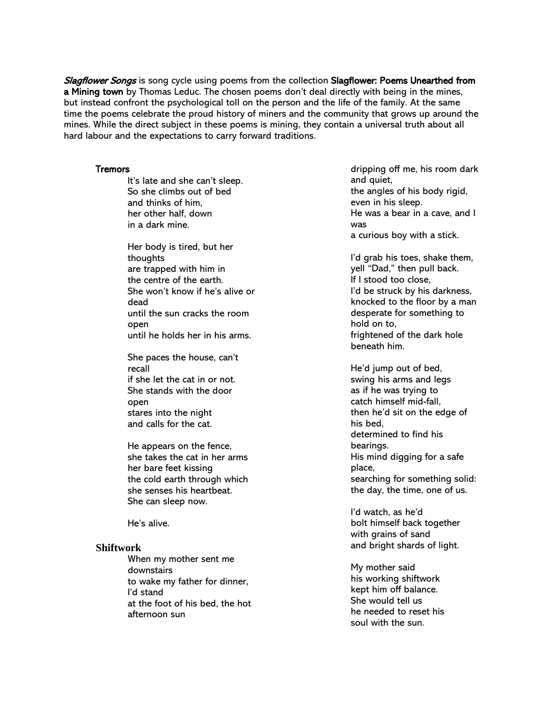Slagflower Songs is song cycle using poems from the collection Slagflower: Poems Unearthed from a Mining town by Thomas Leduc. The chosen poems don't deal directly with being in the mines, but instead confront the psychological toll on the person and the life of the family. At the same time the poems celebrate the proud history of miners and the community that grows up around the mines. While the direct subject in these poems is mining, they contain a universal truth about all hard labour and the expectations to carry forward traditions.

## **Tremors**

 It's late and she can't sleep. So she climbs out of bed and thinks of him, her other half, down in a dark mine.

Her body is tired, but her thoughts are trapped with him in the centre of the earth. She won't know if he's alive or dead until the sun cracks the room open until he holds her in his arms.

She paces the house, can't recall if she let the cat in or not. She stands with the door open stares into the night and calls for the cat.

He appears on the fence, she takes the cat in her arms her bare feet kissing the cold earth through which she senses his heartbeat. She can sleep now.

He's alive.

## **Shiftwork**

When my mother sent me downstairs to wake my father for dinner, I'd stand at the foot of his bed, the hot afternoon sun

dripping off me, his room dark and quiet, the angles of his body rigid, even in his sleep. He was a bear in a cave, and I was a curious boy with a stick.

I'd grab his toes, shake them, yell "Dad," then pull back. If I stood too close, I'd be struck by his darkness, knocked to the floor by a man desperate for something to hold on to, frightened of the dark hole beneath him.

He'd jump out of bed, swing his arms and legs as if he was trying to catch himself mid-fall, then he'd sit on the edge of his bed, determined to find his bearings. His mind digging for a safe place, searching for something solid: the day, the time, one of us.

I'd watch, as he'd bolt himself back together with grains of sand and bright shards of light.

My mother said his working shiftwork kept him off balance. She would tell us he needed to reset his soul with the sun.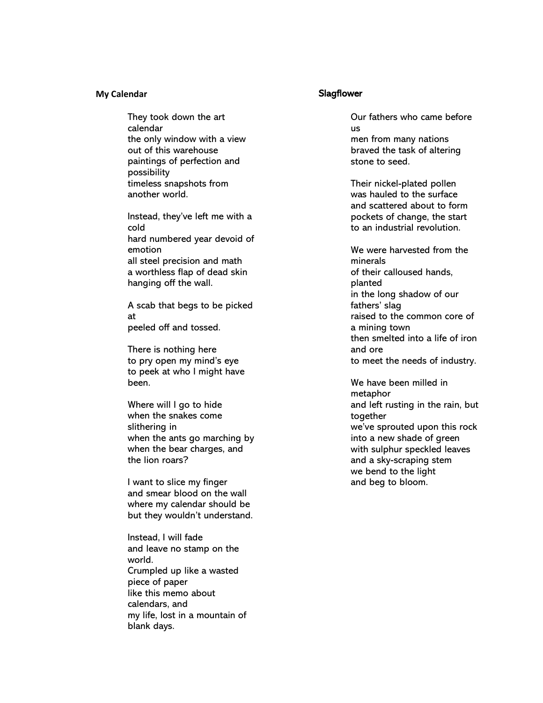#### **My Calendar**

They took down the art calendar the only window with a view out of this warehouse paintings of perfection and possibility timeless snapshots from another world.

Instead, they've left me with a cold hard numbered year devoid of emotion all steel precision and math a worthless flap of dead skin hanging off the wall.

A scab that begs to be picked at peeled off and tossed.

There is nothing here to pry open my mind's eye to peek at who I might have been.

Where will I go to hide when the snakes come slithering in when the ants go marching by when the bear charges, and the lion roars?

I want to slice my finger and smear blood on the wall where my calendar should be but they wouldn't understand.

Instead, I will fade and leave no stamp on the world. Crumpled up like a wasted piece of paper like this memo about calendars, and my life, lost in a mountain of blank days.

## **Slagflower**

Our fathers who came before us men from many nations braved the task of altering stone to seed.

Their nickel-plated pollen was hauled to the surface and scattered about to form pockets of change, the start to an industrial revolution.

We were harvested from the minerals of their calloused hands, planted in the long shadow of our fathers' slag raised to the common core of a mining town then smelted into a life of iron and ore to meet the needs of industry.

We have been milled in metaphor and left rusting in the rain, but together we've sprouted upon this rock into a new shade of green with sulphur speckled leaves and a sky-scraping stem we bend to the light and beg to bloom.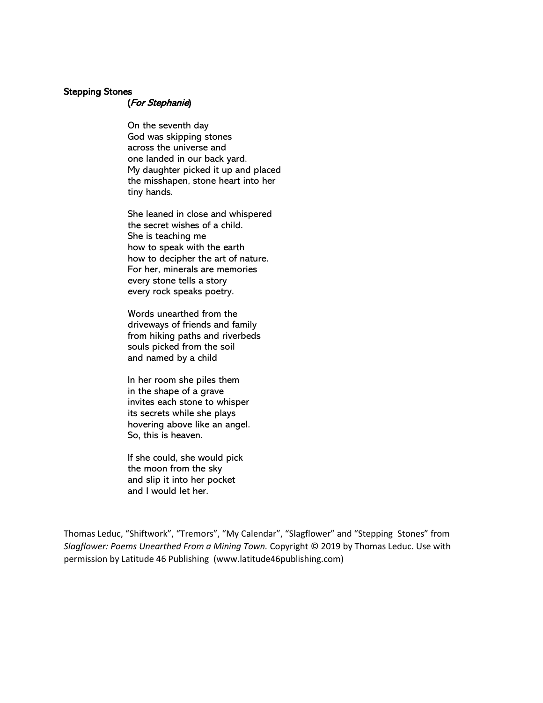## Stepping Stones

## (For Stephanie)

On the seventh day God was skipping stones across the universe and one landed in our back yard. My daughter picked it up and placed the misshapen, stone heart into her tiny hands.

She leaned in close and whispered the secret wishes of a child. She is teaching me how to speak with the earth how to decipher the art of nature. For her, minerals are memories every stone tells a story every rock speaks poetry.

Words unearthed from the driveways of friends and family from hiking paths and riverbeds souls picked from the soil and named by a child

In her room she piles them in the shape of a grave invites each stone to whisper its secrets while she plays hovering above like an angel. So, this is heaven.

If she could, she would pick the moon from the sky and slip it into her pocket and I would let her.

Thomas Leduc, "Shiftwork", "Tremors", "My Calendar", "Slagflower" and "Stepping Stones" from *Slagflower: Poems Unearthed From a Mining Town.* Copyright © 2019 by Thomas Leduc. Use with permission by Latitude 46 Publishing (www.latitude46publishing.com)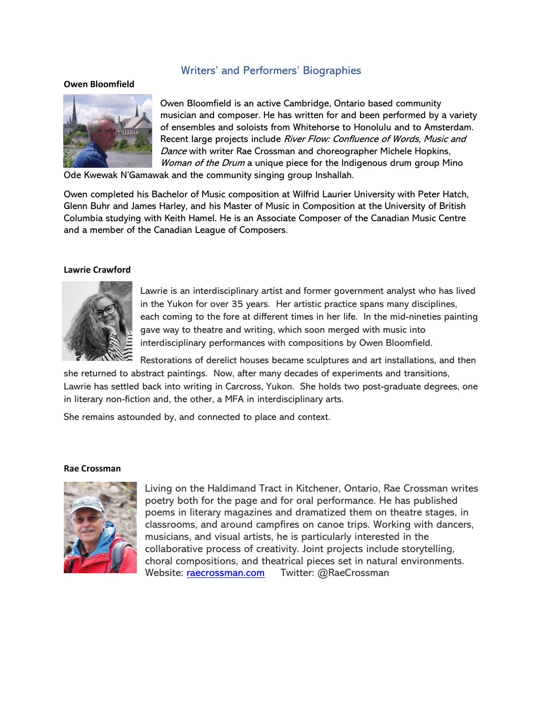# Writers' and Performers' Biographies

#### **Owen Bloomfield**



Owen Bloomfield is an active Cambridge, Ontario based community musician and composer. He has written for and been performed by a variety of ensembles and soloists from Whitehorse to Honolulu and to Amsterdam. Recent large projects include River Flow: Confluence of Words, Music and Dance with writer Rae Crossman and choreographer Michele Hopkins, Woman of the Drum a unique piece for the Indigenous drum group Mino

Ode Kwewak N'Gamawak and the community singing group Inshallah.

Owen completed his Bachelor of Music composition at Wilfrid Laurier University with Peter Hatch, Glenn Buhr and James Harley, and his Master of Music in Composition at the University of British Columbia studying with Keith Hamel. He is an Associate Composer of the Canadian Music Centre and a member of the Canadian League of Composers.

## **Lawrie Crawford**



Lawrie is an interdisciplinary artist and former government analyst who has lived in the Yukon for over 35 years. Her artistic practice spans many disciplines, each coming to the fore at different times in her life. In the mid-nineties painting gave way to theatre and writing, which soon merged with music into interdisciplinary performances with compositions by Owen Bloomfield.

Restorations of derelict houses became sculptures and art installations, and then she returned to abstract paintings. Now, after many decades of experiments and transitions,

Lawrie has settled back into writing in Carcross, Yukon. She holds two post-graduate degrees, one in literary non-fiction and, the other, a MFA in interdisciplinary arts.

She remains astounded by, and connected to place and context.

## **Rae Crossman**



Living on the Haldimand Tract in Kitchener, Ontario, Rae Crossman writes poetry both for the page and for oral performance. He has published poems in literary magazines and dramatized them on theatre stages, in classrooms, and around campfires on canoe trips. Working with dancers, musicians, and visual artists, he is particularly interested in the collaborative process of creativity. Joint projects include storytelling, choral compositions, and theatrical pieces set in natural environments. Website: [raecrossman.com](about:blank) Twitter: @RaeCrossman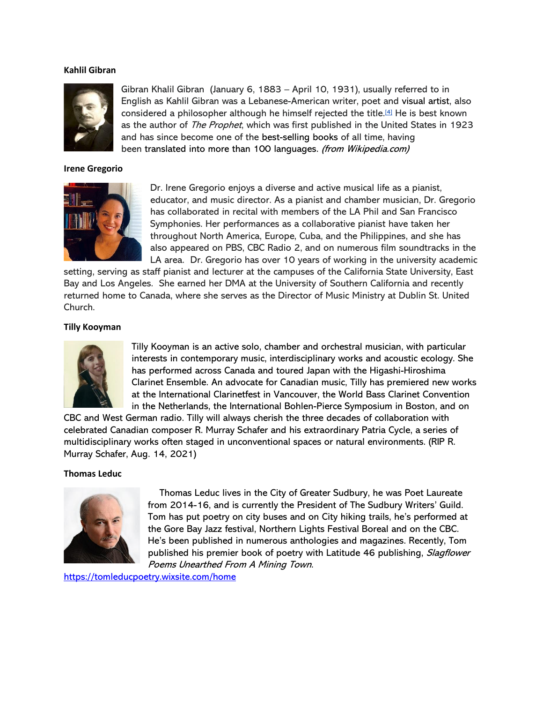## **Kahlil Gibran**



Gibran Khalil Gibran (January 6, 1883 – April 10, 1931), usually referred to in English as Kahlil Gibran was a Lebanese-American writer, poet and visual artist, also considered a philosopher although he himself rejected the title.[\[4\]](https://en.wikipedia.org/wiki/Kahlil_Gibran#cite_note-6) He is best known as the author of The Prophet, which was first published in the United States in 1923 and has since become one of the best-selling books of all time, having been translated into more than 100 languages. (from Wikipedia.com)

#### **Irene Gregorio**



Dr. Irene Gregorio enjoys a diverse and active musical life as a pianist, educator, and music director. As a pianist and chamber musician, Dr. Gregorio has collaborated in recital with members of the LA Phil and San Francisco Symphonies. Her performances as a collaborative pianist have taken her throughout North America, Europe, Cuba, and the Philippines, and she has also appeared on PBS, CBC Radio 2, and on numerous film soundtracks in the LA area. Dr. Gregorio has over 10 years of working in the university academic

setting, serving as staff pianist and lecturer at the campuses of the California State University, East Bay and Los Angeles. She earned her DMA at the University of Southern California and recently returned home to Canada, where she serves as the Director of Music Ministry at Dublin St. United Church.

## **Tilly Kooyman**



Tilly Kooyman is an active solo, chamber and orchestral musician, with particular interests in contemporary music, interdisciplinary works and acoustic ecology. She has performed across Canada and toured Japan with the Higashi-Hiroshima Clarinet Ensemble. An advocate for Canadian music, Tilly has premiered new works at the International Clarinetfest in Vancouver, the World Bass Clarinet Convention in the Netherlands, the International Bohlen-Pierce Symposium in Boston, and on

CBC and West German radio. Tilly will always cherish the three decades of collaboration with celebrated Canadian composer R. Murray Schafer and his extraordinary Patria Cycle, a series of multidisciplinary works often staged in unconventional spaces or natural environments. (RIP R. Murray Schafer, Aug. 14, 2021)

#### **Thomas Leduc**



Thomas Leduc lives in the City of Greater Sudbury, he was Poet Laureate from 2014-16, and is currently the President of The Sudbury Writers' Guild. Tom has put poetry on city buses and on City hiking trails, he's performed at the Gore Bay Jazz festival, Northern Lights Festival Boreal and on the CBC. He's been published in numerous anthologies and magazines. Recently, Tom published his premier book of poetry with Latitude 46 publishing, Slagflower Poems Unearthed From A Mining Town.

<https://tomleducpoetry.wixsite.com/home>